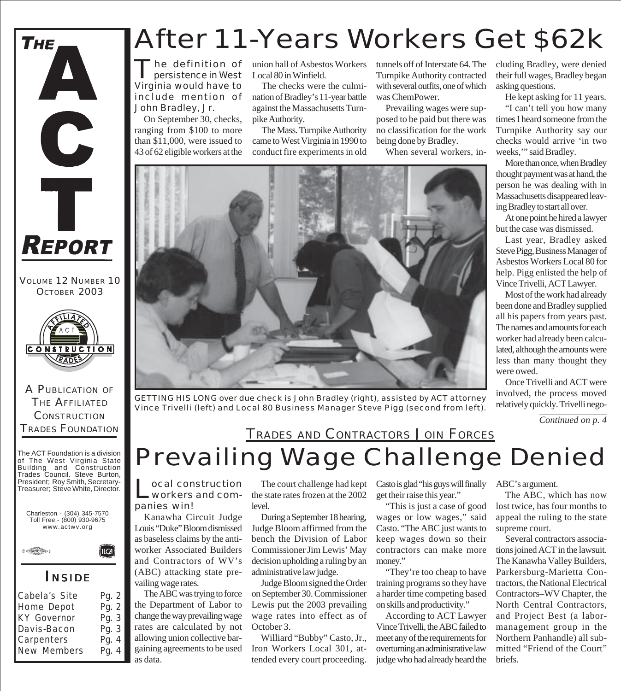

VOLUME 12 NUMBER 10 OCTOBER 2003



A PUBLICATION OF THE AFFILIATED **CONSTRUCTION** TRADES FOUNDATION

The ACT Foundation is a division of The West Virginia State Building and Construction Trades Council. Steve Burton, President; Roy Smith, Secretary-Treasurer; Steve White, Director.





#### *I NSIDE*

(llca)

| Cabela's Site      | Pg. 2 |
|--------------------|-------|
| Home Depot         | Pg. 2 |
| <b>KY Governor</b> | Pg. 3 |
| Davis-Bacon        | Pg. 3 |
| Carpenters         | Pg. 4 |
| New Members        | Pg. 4 |
|                    |       |

### After 11-Years Workers Get \$62k

The definition of<br>persistence in West Virginia would have to include mention of John Bradley, Jr.

On September 30, checks, ranging from \$100 to more than \$11,000, were issued to 43 of 62 eligible workers at the

union hall of Asbestos Workers Local 80 in Winfield.

The checks were the culmination of Bradley's 11-year battle against the Massachusetts Turnpike Authority.

The Mass. Turnpike Authority came to West Virginia in 1990 to conduct fire experiments in old tunnels off of Interstate 64. The Turnpike Authority contracted with several outfits, one of which was ChemPower.

Prevailing wages were supposed to be paid but there was no classification for the work being done by Bradley.

When several workers, in-



*GETTING HIS LONG over due check is John Bradley (right), assisted by ACT attorney Vince Trivelli (left) and Local 80 Business Manager Steve Pigg (second from left).*

cluding Bradley, were denied their full wages, Bradley began asking questions. He kept asking for 11 years.

"I can't tell you how many times I heard someone from the Turnpike Authority say our checks would arrive 'in two weeks," said Bradley.

More than once, when Bradley thought payment was at hand, the person he was dealing with in Massachusetts disappeared leaving Bradley to start all over.

At one point he hired a lawyer but the case was dismissed.

Last year, Bradley asked Steve Pigg, Business Manager of Asbestos Workers Local 80 for help. Pigg enlisted the help of Vince Trivelli, ACT Lawyer.

Most of the work had already been done and Bradley supplied all his papers from years past. The names and amounts for each worker had already been calculated, although the amounts were less than many thought they were owed.

Once Trivelli and ACT were involved, the process moved relatively quickly. Trivelli nego-

*Continued on p. 4*

### Prevailing Wage Challenge Denied TRADES AND CONTRACTORS JOIN FORCES

Local construction<br>
workers and companies win!

Kanawha Circuit Judge Louis "Duke" Bloom dismissed as baseless claims by the antiworker Associated Builders and Contractors of WV's (ABC) attacking state prevailing wage rates.

The ABC was trying to force the Department of Labor to change the way prevailing wage rates are calculated by not allowing union collective bargaining agreements to be used as data.

The court challenge had kept the state rates frozen at the 2002 level.

During a September 18 hearing, Judge Bloom affirmed from the bench the Division of Labor Commissioner Jim Lewis' May decision upholding a ruling by an administrative law judge.

Judge Bloom signed the Order on September 30. Commissioner Lewis put the 2003 prevailing wage rates into effect as of October 3.

Williard "Bubby" Casto, Jr., Iron Workers Local 301, attended every court proceeding.

Casto is glad "his guys will finally get their raise this year."

"This is just a case of good wages or low wages," said Casto. "The ABC just wants to keep wages down so their contractors can make more money."

"They're too cheap to have training programs so they have a harder time competing based on skills and productivity."

According to ACT Lawyer Vince Trivelli, the ABC failed to meet any of the requirements for overturning an administrative law judge who had already heard the

ABC's argument.

The ABC, which has now lost twice, has four months to appeal the ruling to the state supreme court.

Several contractors associations joined ACT in the lawsuit. The Kanawha Valley Builders, Parkersburg-Marietta Contractors, the National Electrical Contractors–WV Chapter, the North Central Contractors, and Project Best (a labormanagement group in the Northern Panhandle) all submitted "Friend of the Court" briefs.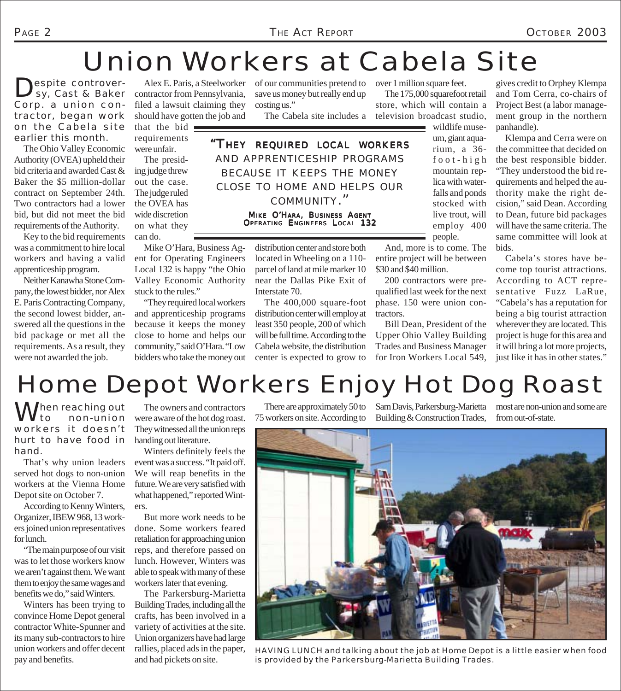### Union Workers at Cabela Site

Despite controver-<br>
Sy, Cast & Baker Corp. a union contractor, began work on the Cabela site earlier this month.

The Ohio Valley Economic Authority (OVEA) upheld their bid criteria and awarded Cast & Baker the \$5 million-dollar contract on September 24th. Two contractors had a lower bid, but did not meet the bid requirements of the Authority.

Key to the bid requirements was a commitment to hire local workers and having a valid apprenticeship program.

Neither Kanawha Stone Company, the lowest bidder, nor Alex E. Paris Contracting Company, the second lowest bidder, answered all the questions in the bid package or met all the requirements. As a result, they were not awarded the job.

Alex E. Paris, a Steelworker contractor from Pennsylvania, filed a lawsuit claiming they should have gotten the job and

that the bid requirements were unfair.

The presiding judge threw out the case. The judge ruled the OVEA has wide discretion on what they can do.

Mike O'Hara, Business Agent for Operating Engineers Local 132 is happy "the Ohio Valley Economic Authority stuck to the rules."

"They required local workers and apprenticeship programs because it keeps the money close to home and helps our community," said O'Hara. "Low bidders who take the money out

of our communities pretend to save us money but really end up costing us."

The Cabela site includes a television broadcast studio,

*"THEY REQUIRED LOCAL WORKERS AND APPRENTICESHIP PROGRAMS BECAUSE IT KEEPS THE MONEY CLOSE TO HOME AND HELPS OUR COMMUNITY."*

> MIKE O'HARA, BUSINESS AGENT OPERATING ENGINEERS LOCAL 132

distribution center and store both located in Wheeling on a 110 parcel of land at mile marker 10 near the Dallas Pike Exit of Interstate 70.

The 400,000 square-foot distribution center will employ at least 350 people, 200 of which will be full time. According to the Cabela website, the distribution center is expected to grow to

over 1 million square feet. The 175,000 squarefoot retail

store, which will contain a

um, giant aquarium, a 36 foot-high mountain replica with waterfalls and ponds stocked with live trout, will employ 400 people.

wildlife muse-

And, more is to come. The entire project will be between \$30 and \$40 million.

200 contractors were prequalified last week for the next phase. 150 were union contractors.

Bill Dean, President of the Upper Ohio Valley Building Trades and Business Manager for Iron Workers Local 549,

gives credit to Orphey Klempa and Tom Cerra, co-chairs of Project Best (a labor management group in the northern panhandle).

Klempa and Cerra were on the committee that decided on the best responsible bidder. "They understood the bid requirements and helped the authority make the right decision," said Dean. According to Dean, future bid packages will have the same criteria. The same committee will look at bids.

Cabela's stores have become top tourist attractions. According to ACT representative Fuzz LaRue, "Cabela's has a reputation for being a big tourist attraction wherever they are located. This project is huge for this area and it will bring a lot more projects, just like it has in other states."

# Home Depot Workers Enjoy Hot Dog Roast

When reaching out workers it doesn't hurt to have food in hand.

That's why union leaders served hot dogs to non-union workers at the Vienna Home Depot site on October 7.

According to Kenny Winters, Organizer, IBEW 968, 13 workers joined union representatives for lunch.

"The main purpose of our visit was to let those workers know we aren't against them. We want them to enjoy the same wages and benefits we do," said Winters.

Winters has been trying to convince Home Depot general contractor White-Spunner and its many sub-contractors to hire union workers and offer decent pay and benefits.

The owners and contractors were aware of the hot dog roast. They witnessed all the union reps handing out literature.

Winters definitely feels the event was a success. "It paid off. We will reap benefits in the future. We are very satisfied with what happened," reported Winters.

But more work needs to be done. Some workers feared retaliation for approaching union reps, and therefore passed on lunch. However, Winters was able to speak with many of these workers later that evening.

The Parkersburg-Marietta Building Trades, including all the crafts, has been involved in a variety of activities at the site. Union organizers have had large rallies, placed ads in the paper, and had pickets on site.

75 workers on site. According to Building & Construction Trades,

There are approximately 50 to Sam Davis, Parkersburg-Marietta

most are non-union and some are from out-of-state.



*HAVING LUNCH and talking about the job at Home Depot is a little easier when food is provided by the Parkersburg-Marietta Building Trades.*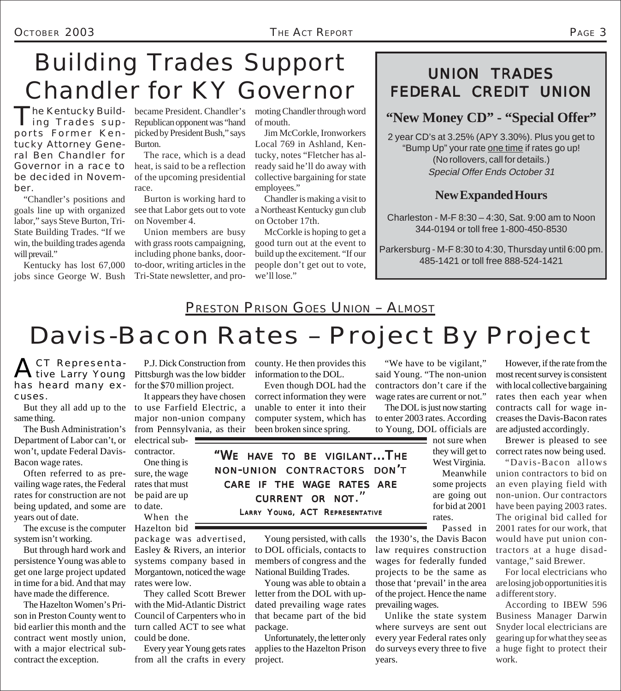### Building Trades Support Chandler for KY Governor

The Kentucky Build-<br>
ing Trades supports Former Kentucky Attorney General Ben Chandler for Governor in a race to be decided in November.

"Chandler's positions and goals line up with organized labor," says Steve Burton, Tri-State Building Trades. "If we win, the building trades agenda will prevail."

Kentucky has lost 67,000 jobs since George W. Bush

The Kentucky Build- became President. Chandler's Republican opponent was "hand picked by President Bush," says Burton.

> The race, which is a dead heat, is said to be a reflection of the upcoming presidential race.

> Burton is working hard to see that Labor gets out to vote on November 4.

> Union members are busy with grass roots campaigning, including phone banks, doorto-door, writing articles in the Tri-State newsletter, and pro

moting Chandler through word of mouth.

Jim McCorkle, Ironworkers Local 769 in Ashland, Kentucky, notes "Fletcher has already said he'll do away with collective bargaining for state employees."

Chandler is making a visit to a Northeast Kentucky gun club on October 17th.

McCorkle is hoping to get a good turn out at the event to build up the excitement. "If our people don't get out to vote, we'll lose."

### UNION TRADES FEDERAL CREDIT UNION

#### **"New Money CD" - "Special Offer"**

2 year CD's at 3.25% (APY 3.30%). Plus you get to "Bump Up" your rate one time if rates go up! (No rollovers, call for details.) Special Offer Ends October 31

#### **New Expanded Hours**

Charleston - M-F 8:30 – 4:30, Sat. 9:00 am to Noon 344-0194 or toll free 1-800-450-8530

Parkersburg - M-F 8:30 to 4:30, Thursday until 6:00 pm. 485-1421 or toll free 888-524-1421

#### PRESTON PRISON GOES UNION – ALMOST

# Davis-Bacon Rates – Project By Project

ACT Representahas heard many excuses.

But they all add up to the same thing.

The Bush Administration's Department of Labor can't, or won't, update Federal Davis-Bacon wage rates.

Often referred to as prevailing wage rates, the Federal rates for construction are not being updated, and some are years out of date.

The excuse is the computer Hazelton bid system isn't working.

But through hard work and persistence Young was able to get one large project updated in time for a bid. And that may have made the difference.

The Hazelton Women's Prison in Preston County went to bid earlier this month and the contract went mostly union, with a major electrical subcontract the exception.

P.J. Dick Construction from Pittsburgh was the low bidder for the \$70 million project.

It appears they have chosen to use Farfield Electric, a major non-union company from Pennsylvania, as their

electrical subcontractor.

One thing is sure, the wage rates that must be paid are up to date.

When the

package was advertised, Easley & Rivers, an interior systems company based in Morgantown, noticed the wage rates were low.

They called Scott Brewer with the Mid-Atlantic District Council of Carpenters who in turn called ACT to see what could be done.

Every year Young gets rates from all the crafts in every

county. He then provides this information to the DOL.

Even though DOL had the correct information they were unable to enter it into their computer system, which has been broken since spring.

*"WE HAVE TO BE VIGILANT...THE NON-UNION CONTRACTORS DON'T CARE IF THE WAGE RATES ARE CURRENT OR NOT."*

LARRY YOUNG, ACT REPRESENTATIVE

Young persisted, with calls to DOL officials, contacts to members of congress and the National Building Trades.

Young was able to obtain a letter from the DOL with updated prevailing wage rates that became part of the bid package.

Unfortunately, the letter only applies to the Hazelton Prison project.

"We have to be vigilant," said Young. "The non-union contractors don't care if the wage rates are current or not."

The DOL is just now starting to enter 2003 rates. According to Young, DOL officials are

> not sure when they will get to West Virginia. some projects

Meanwhile are going out for bid at 2001 rates.

Passed in

the 1930's, the Davis Bacon law requires construction wages for federally funded projects to be the same as those that 'prevail' in the area of the project. Hence the name prevailing wages.

Unlike the state system where surveys are sent out every year Federal rates only do surveys every three to five years.

However, if the rate from the most recent survey is consistent with local collective bargaining rates then each year when contracts call for wage increases the Davis-Bacon rates are adjusted accordingly.

Brewer is pleased to see correct rates now being used.

"Davis-Bacon allows union contractors to bid on an even playing field with non-union. Our contractors have been paying 2003 rates. The original bid called for 2001 rates for our work, that would have put union contractors at a huge disadvantage," said Brewer.

For local electricians who are losing job opportunities it is a different story.

According to IBEW 596 Business Manager Darwin Snyder local electricians are gearing up for what they see as a huge fight to protect their work.